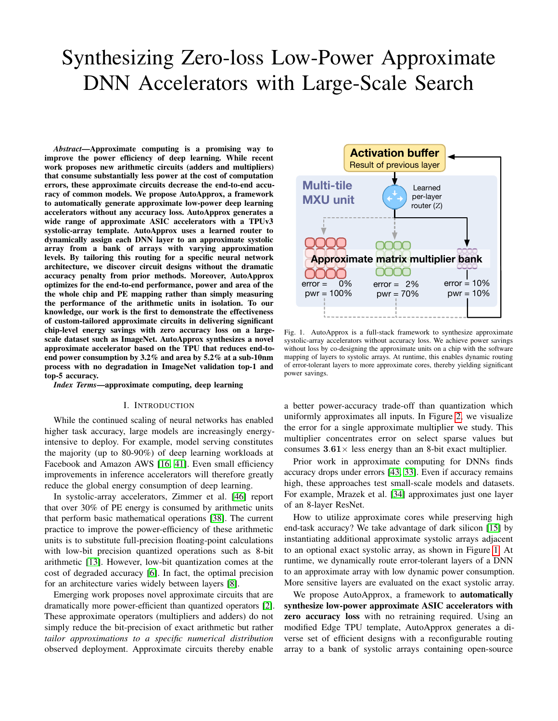# Synthesizing Zero-loss Low-Power Approximate DNN Accelerators with Large-Scale Search

*Abstract*—Approximate computing is a promising way to improve the power efficiency of deep learning. While recent work proposes new arithmetic circuits (adders and multipliers) that consume substantially less power at the cost of computation errors, these approximate circuits decrease the end-to-end accuracy of common models. We propose AutoApprox, a framework to automatically generate approximate low-power deep learning accelerators without any accuracy loss. AutoApprox generates a wide range of approximate ASIC accelerators with a TPUv3 systolic-array template. AutoApprox uses a learned router to dynamically assign each DNN layer to an approximate systolic array from a bank of arrays with varying approximation levels. By tailoring this routing for a specific neural network architecture, we discover circuit designs without the dramatic accuracy penalty from prior methods. Moreover, AutoApprox optimizes for the end-to-end performance, power and area of the the whole chip and PE mapping rather than simply measuring the performance of the arithmetic units in isolation. To our knowledge, our work is the first to demonstrate the effectiveness of custom-tailored approximate circuits in delivering significant chip-level energy savings with zero accuracy loss on a largescale dataset such as ImageNet. AutoApprox synthesizes a novel approximate accelerator based on the TPU that reduces end-toend power consumption by 3.2% and area by 5.2% at a sub-10nm process with no degradation in ImageNet validation top-1 and top-5 accuracy.

*Index Terms*—approximate computing, deep learning

#### I. INTRODUCTION

While the continued scaling of neural networks has enabled higher task accuracy, large models are increasingly energyintensive to deploy. For example, model serving constitutes the majority (up to 80-90%) of deep learning workloads at Facebook and Amazon AWS [\[16,](#page-8-0) [41\]](#page-8-1). Even small efficiency improvements in inference accelerators will therefore greatly reduce the global energy consumption of deep learning.

In systolic-array accelerators, Zimmer et al. [\[46\]](#page-8-2) report that over 30% of PE energy is consumed by arithmetic units that perform basic mathematical operations [\[38\]](#page-8-3). The current practice to improve the power-efficiency of these arithmetic units is to substitute full-precision floating-point calculations with low-bit precision quantized operations such as 8-bit arithmetic [\[13\]](#page-8-4). However, low-bit quantization comes at the cost of degraded accuracy [\[6\]](#page-8-5). In fact, the optimal precision for an architecture varies widely between layers [\[8\]](#page-8-6).

Emerging work proposes novel approximate circuits that are dramatically more power-efficient than quantized operators [\[2\]](#page-8-7). These approximate operators (multipliers and adders) do not simply reduce the bit-precision of exact arithmetic but rather *tailor approximations to a specific numerical distribution* observed deployment. Approximate circuits thereby enable



<span id="page-0-0"></span>Fig. 1. AutoApprox is a full-stack framework to synthesize approximate systolic-array accelerators without accuracy loss. We achieve power savings without loss by co-designing the approximate units on a chip with the software mapping of layers to systolic arrays. At runtime, this enables dynamic routing of error-tolerant layers to more approximate cores, thereby yielding significant power savings.

a better power-accuracy trade-off than quantization which uniformly approximates all inputs. In Figure [2,](#page-1-0) we visualize the error for a single approximate multiplier we study. This multiplier concentrates error on select sparse values but consumes  $3.61 \times$  less energy than an 8-bit exact multiplier.

Prior work in approximate computing for DNNs finds accuracy drops under errors [\[43,](#page-8-8) [33\]](#page-8-9). Even if accuracy remains high, these approaches test small-scale models and datasets. For example, Mrazek et al. [\[34\]](#page-8-10) approximates just one layer of an 8-layer ResNet.

How to utilize approximate cores while preserving high end-task accuracy? We take advantage of dark silicon [\[15\]](#page-8-11) by instantiating additional approximate systolic arrays adjacent to an optional exact systolic array, as shown in Figure [1.](#page-0-0) At runtime, we dynamically route error-tolerant layers of a DNN to an approximate array with low dynamic power consumption. More sensitive layers are evaluated on the exact systolic array.

We propose AutoApprox, a framework to **automatically** synthesize low-power approximate ASIC accelerators with zero accuracy loss with no retraining required. Using an modified Edge TPU template, AutoApprox generates a diverse set of efficient designs with a reconfigurable routing array to a bank of systolic arrays containing open-source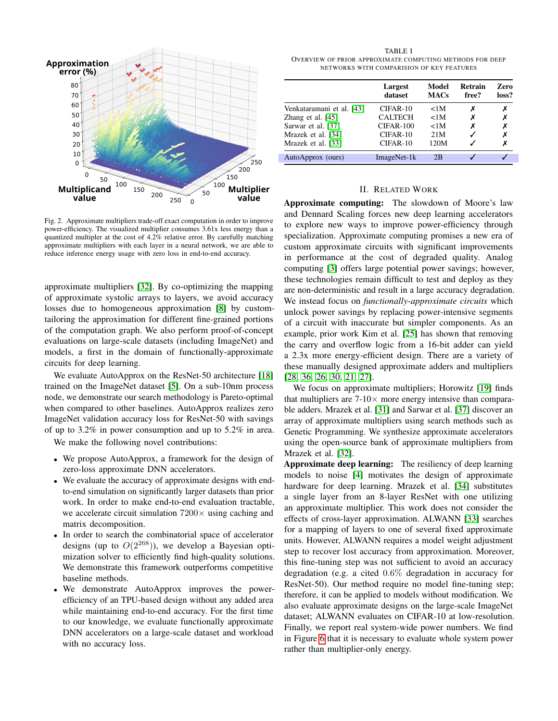

<span id="page-1-0"></span>Fig. 2. Approximate multipliers trade-off exact computation in order to improve power-efficiency. The visualized multiplier consumes 3.61x less energy than a quantized multipler at the cost of 4.2% relative error. By carefully matching approximate multipliers with each layer in a neural network, we are able to reduce inference energy usage with zero loss in end-to-end accuracy.

approximate multipliers [\[32\]](#page-8-12). By co-optimizing the mapping of approximate systolic arrays to layers, we avoid accuracy losses due to homogeneous approximation [\[8\]](#page-8-6) by customtailoring the approximation for different fine-grained portions of the computation graph. We also perform proof-of-concept evaluations on large-scale datasets (including ImageNet) and models, a first in the domain of functionally-approximate circuits for deep learning.

We evaluate AutoApprox on the ResNet-50 architecture [\[18\]](#page-8-13) trained on the ImageNet dataset [\[5\]](#page-8-14). On a sub-10nm process node, we demonstrate our search methodology is Pareto-optimal when compared to other baselines. AutoApprox realizes zero ImageNet validation accuracy loss for ResNet-50 with savings of up to 3.2% in power consumption and up to 5.2% in area.

We make the following novel contributions:

- We propose AutoApprox, a framework for the design of zero-loss approximate DNN accelerators.
- We evaluate the accuracy of approximate designs with endto-end simulation on significantly larger datasets than prior work. In order to make end-to-end evaluation tractable, we accelerate circuit simulation  $7200 \times$  using caching and matrix decomposition.
- In order to search the combinatorial space of accelerator designs (up to  $O(2^{268})$ ), we develop a Bayesian optimization solver to efficiently find high-quality solutions. We demonstrate this framework outperforms competitive baseline methods.
- We demonstrate AutoApprox improves the powerefficiency of an TPU-based design without any added area while maintaining end-to-end accuracy. For the first time to our knowledge, we evaluate functionally approximate DNN accelerators on a large-scale dataset and workload with no accuracy loss.

TABLE I OVERVIEW OF PRIOR APPROXIMATE COMPUTING METHODS FOR DEEP NETWORKS WITH COMPARISION OF KEY FEATURES

|                           | Largest<br>dataset | Model<br><b>MACs</b> | Retrain<br>free? | Zero<br>loss? |
|---------------------------|--------------------|----------------------|------------------|---------------|
| Venkataramani et al. [43] | $CIFAR-10$         | <1M                  | х                | Х             |
| Zhang et al. $[45]$       | <b>CALTECH</b>     | <1M                  | х                | х             |
| Sarwar et al. [37]        | CIFAR-100          | <1M                  | х                | х             |
| Mrazek et al. [34]        | $CIFAR-10$         | 21M                  |                  | Х             |
| Mrazek et al. [33]        | CIFAR-10           | 120M                 |                  | х             |
| AutoApprox (ours)         | ImageNet-1k        | 2B                   |                  |               |

#### II. RELATED WORK

Approximate computing: The slowdown of Moore's law and Dennard Scaling forces new deep learning accelerators to explore new ways to improve power-efficiency through specialization. Approximate computing promises a new era of custom approximate circuits with significant improvements in performance at the cost of degraded quality. Analog computing [\[3\]](#page-8-17) offers large potential power savings; however, these technologies remain difficult to test and deploy as they are non-deterministic and result in a large accuracy degradation. We instead focus on *functionally-approximate circuits* which unlock power savings by replacing power-intensive segments of a circuit with inaccurate but simpler components. As an example, prior work Kim et al. [\[25\]](#page-8-18) has shown that removing the carry and overflow logic from a 16-bit adder can yield a 2.3x more energy-efficient design. There are a variety of these manually designed approximate adders and multipliers [\[28,](#page-8-19) [36,](#page-8-20) [26,](#page-8-21) [30,](#page-8-22) [21,](#page-8-23) [27\]](#page-8-24).

We focus on approximate multipliers; Horowitz [\[19\]](#page-8-25) finds that multipliers are  $7-10\times$  more energy intensive than comparable adders. Mrazek et al. [\[31\]](#page-8-26) and Sarwar et al. [\[37\]](#page-8-16) discover an array of approximate multipliers using search methods such as Genetic Programming. We synthesize approximate accelerators using the open-source bank of approximate multipliers from Mrazek et al. [\[32\]](#page-8-12).

Approximate deep learning: The resiliency of deep learning models to noise [\[4\]](#page-8-27) motivates the design of approximate hardware for deep learning. Mrazek et al. [\[34\]](#page-8-10) substitutes a single layer from an 8-layer ResNet with one utilizing an approximate multiplier. This work does not consider the effects of cross-layer approximation. ALWANN [\[33\]](#page-8-9) searches for a mapping of layers to one of several fixed approximate units. However, ALWANN requires a model weight adjustment step to recover lost accuracy from approximation. Moreover, this fine-tuning step was not sufficient to avoid an accuracy degradation (e.g. a cited 0.6% degradation in accuracy for ResNet-50). Our method require no model fine-tuning step; therefore, it can be applied to models without modification. We also evaluate approximate designs on the large-scale ImageNet dataset; ALWANN evaluates on CIFAR-10 at low-resolution. Finally, we report real system-wide power numbers. We find in Figure [6](#page-4-0) that it is necessary to evaluate whole system power rather than multiplier-only energy.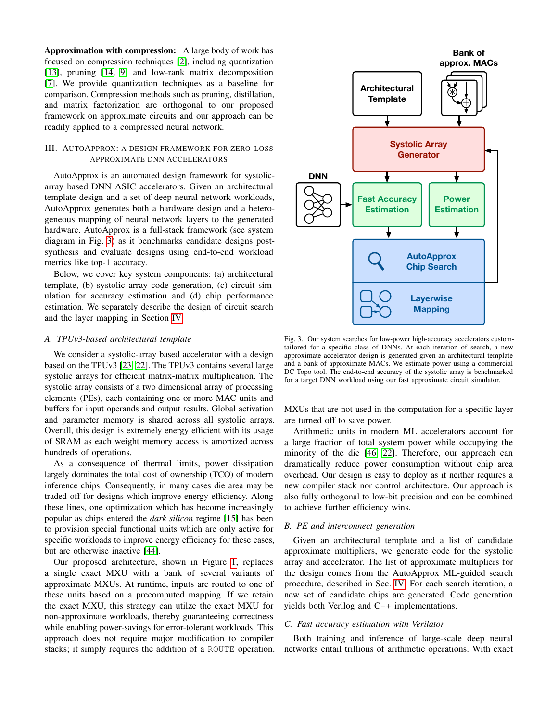Approximation with compression: A large body of work has focused on compression techniques [\[2\]](#page-8-7), including quantization [\[13\]](#page-8-4), pruning [\[14,](#page-8-28) [9\]](#page-8-29) and low-rank matrix decomposition [\[7\]](#page-8-30). We provide quantization techniques as a baseline for comparison. Compression methods such as pruning, distillation, and matrix factorization are orthogonal to our proposed framework on approximate circuits and our approach can be readily applied to a compressed neural network.

# III. AUTOAPPROX: A DESIGN FRAMEWORK FOR ZERO-LOSS APPROXIMATE DNN ACCELERATORS

AutoApprox is an automated design framework for systolicarray based DNN ASIC accelerators. Given an architectural template design and a set of deep neural network workloads, AutoApprox generates both a hardware design and a heterogeneous mapping of neural network layers to the generated hardware. AutoApprox is a full-stack framework (see system diagram in Fig. [3\)](#page-2-0) as it benchmarks candidate designs postsynthesis and evaluate designs using end-to-end workload metrics like top-1 accuracy.

Below, we cover key system components: (a) architectural template, (b) systolic array code generation, (c) circuit simulation for accuracy estimation and (d) chip performance estimation. We separately describe the design of circuit search and the layer mapping in Section [IV.](#page-4-1)

# *A. TPUv3-based architectural template*

We consider a systolic-array based accelerator with a design based on the TPUv3 [\[23,](#page-8-31) [22\]](#page-8-32). The TPUv3 contains several large systolic arrays for efficient matrix-matrix multiplication. The systolic array consists of a two dimensional array of processing elements (PEs), each containing one or more MAC units and buffers for input operands and output results. Global activation and parameter memory is shared across all systolic arrays. Overall, this design is extremely energy efficient with its usage of SRAM as each weight memory access is amortized across hundreds of operations.

As a consequence of thermal limits, power dissipation largely dominates the total cost of ownership (TCO) of modern inference chips. Consequently, in many cases die area may be traded off for designs which improve energy efficiency. Along these lines, one optimization which has become increasingly popular as chips entered the *dark silicon* regime [\[15\]](#page-8-11) has been to provision special functional units which are only active for specific workloads to improve energy efficiency for these cases, but are otherwise inactive [\[44\]](#page-8-33).

Our proposed architecture, shown in Figure [1,](#page-0-0) replaces a single exact MXU with a bank of several variants of approximate MXUs. At runtime, inputs are routed to one of these units based on a precomputed mapping. If we retain the exact MXU, this strategy can utilze the exact MXU for non-approximate workloads, thereby guaranteeing correctness while enabling power-savings for error-tolerant workloads. This approach does not require major modification to compiler stacks; it simply requires the addition of a ROUTE operation.



<span id="page-2-0"></span>Fig. 3. Our system searches for low-power high-accuracy accelerators customtailored for a specific class of DNNs. At each iteration of search, a new approximate accelerator design is generated given an architectural template and a bank of approximate MACs. We estimate power using a commercial DC Topo tool. The end-to-end accuracy of the systolic array is benchmarked for a target DNN workload using our fast approximate circuit simulator.

MXUs that are not used in the computation for a specific layer are turned off to save power.

Arithmetic units in modern ML accelerators account for a large fraction of total system power while occupying the minority of the die [\[46,](#page-8-2) [22\]](#page-8-32). Therefore, our approach can dramatically reduce power consumption without chip area overhead. Our design is easy to deploy as it neither requires a new compiler stack nor control architecture. Our approach is also fully orthogonal to low-bit precision and can be combined to achieve further efficiency wins.

# *B. PE and interconnect generation*

Given an architectural template and a list of candidate approximate multipliers, we generate code for the systolic array and accelerator. The list of approximate multipliers for the design comes from the AutoApprox ML-guided search procedure, described in Sec. [IV.](#page-4-1) For each search iteration, a new set of candidate chips are generated. Code generation yields both Verilog and C++ implementations.

#### *C. Fast accuracy estimation with Verilator*

Both training and inference of large-scale deep neural networks entail trillions of arithmetic operations. With exact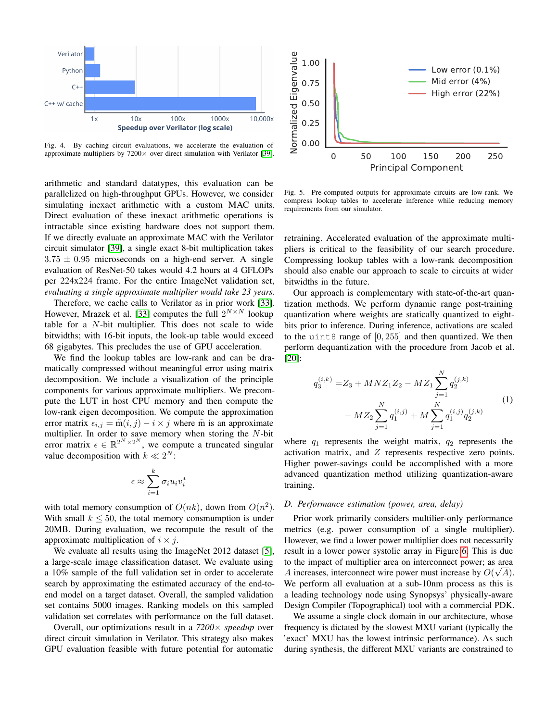

Fig. 4. By caching circuit evaluations, we accelerate the evaluation of approximate multipliers by  $7200 \times$  over direct simulation with Verilator [\[39\]](#page-8-34).

arithmetic and standard datatypes, this evaluation can be parallelized on high-throughput GPUs. However, we consider simulating inexact arithmetic with a custom MAC units. Direct evaluation of these inexact arithmetic operations is intractable since existing hardware does not support them. If we directly evaluate an approximate MAC with the Verilator circuit simulator [\[39\]](#page-8-34), a single exact 8-bit multiplication takes  $3.75 \pm 0.95$  microseconds on a high-end server. A single evaluation of ResNet-50 takes would 4.2 hours at 4 GFLOPs per 224x224 frame. For the entire ImageNet validation set, *evaluating a single approximate multiplier would take 23 years*.

Therefore, we cache calls to Verilator as in prior work [\[33\]](#page-8-9). However, Mrazek et al. [\[33\]](#page-8-9) computes the full  $2^{N \times N}$  lookup table for a N-bit multiplier. This does not scale to wide bitwidths; with 16-bit inputs, the look-up table would exceed 68 gigabytes. This precludes the use of GPU acceleration.

We find the lookup tables are low-rank and can be dramatically compressed without meaningful error using matrix decomposition. We include a visualization of the principle components for various approximate multipliers. We precompute the LUT in host CPU memory and then compute the low-rank eigen decomposition. We compute the approximation error matrix  $\epsilon_{i,j} = \tilde{m}(i, j) - i \times j$  where  $\tilde{m}$  is an approximate multiplier. In order to save memory when storing the  $N$ -bit error matrix  $\epsilon \in \mathbb{R}^{2^N \times 2^N}$ , we compute a truncated singular value decomposition with  $k \ll 2^N$ :

$$
\epsilon \approx \sum_{i=1}^k \sigma_i u_i v
$$

∗ i

with total memory consumption of  $O(nk)$ , down from  $O(n^2)$ . With small  $k \leq 50$ , the total memory consmumption is under 20MB. During evaluation, we recompute the result of the approximate multiplication of  $i \times j$ .

We evaluate all results using the ImageNet 2012 dataset [\[5\]](#page-8-14), a large-scale image classification dataset. We evaluate using a 10% sample of the full validation set in order to accelerate search by approximating the estimated accuracy of the end-toend model on a target dataset. Overall, the sampled validation set contains 5000 images. Ranking models on this sampled validation set correlates with performance on the full dataset.

Overall, our optimizations result in a *7200*× *speedup* over direct circuit simulation in Verilator. This strategy also makes GPU evaluation feasible with future potential for automatic



Fig. 5. Pre-computed outputs for approximate circuits are low-rank. We compress lookup tables to accelerate inference while reducing memory requirements from our simulator.

retraining. Accelerated evaluation of the approximate multipliers is critical to the feasibility of our search procedure. Compressing lookup tables with a low-rank decomposition should also enable our approach to scale to circuits at wider bitwidths in the future.

Our approach is complementary with state-of-the-art quantization methods. We perform dynamic range post-training quantization where weights are statically quantized to eightbits prior to inference. During inference, activations are scaled to the uint8 range of  $[0, 255]$  and then quantized. We then perform dequantization with the procedure from Jacob et al. [\[20\]](#page-8-35):

$$
q_3^{(i,k)} = Z_3 + MNZ_1Z_2 - MZ_1 \sum_{j=1}^N q_2^{(j,k)}
$$
  
- 
$$
MZ_2 \sum_{j=1}^N q_1^{(i,j)} + M \sum_{j=1}^N q_1^{(i,j)} q_2^{(j,k)}
$$
 (1)

where  $q_1$  represents the weight matrix,  $q_2$  represents the activation matrix, and Z represents respective zero points. Higher power-savings could be accomplished with a more advanced quantization method utilizing quantization-aware training.

## *D. Performance estimation (power, area, delay)*

Prior work primarily considers multilier-only performance metrics (e.g. power consumption of a single multiplier). However, we find a lower power multiplier does not necessarily result in a lower power systolic array in Figure [6.](#page-4-0) This is due to the impact of multiplier area on interconnect power; as area A increases, interconnect wire power must increase by  $O(\sqrt{A})$ . We perform all evaluation at a sub-10nm process as this is a leading technology node using Synopsys' physically-aware Design Compiler (Topographical) tool with a commercial PDK.

We assume a single clock domain in our architecture, whose frequency is dictated by the slowest MXU variant (typically the 'exact' MXU has the lowest intrinsic performance). As such during synthesis, the different MXU variants are constrained to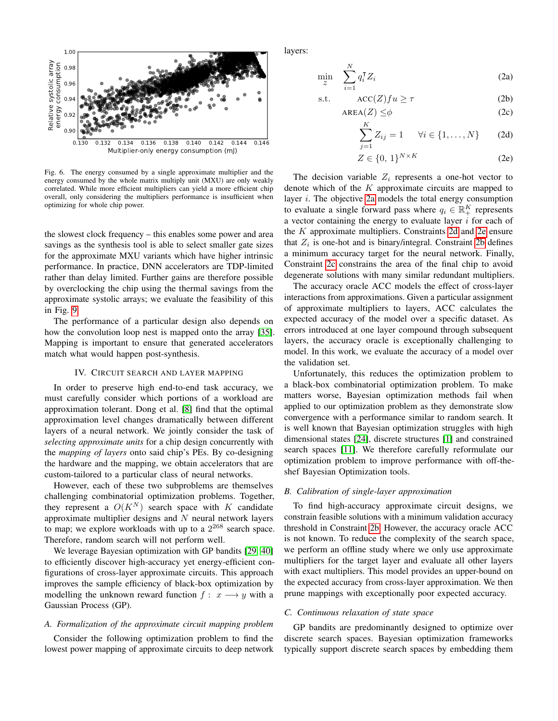

<span id="page-4-0"></span>Fig. 6. The energy consumed by a single approximate multiplier and the energy consumed by the whole matrix multiply unit (MXU) are only weakly correlated. While more efficient multipliers can yield a more efficient chip overall, only considering the multipliers performance is insufficient when optimizing for whole chip power.

the slowest clock frequency – this enables some power and area savings as the synthesis tool is able to select smaller gate sizes for the approximate MXU variants which have higher intrinsic performance. In practice, DNN accelerators are TDP-limited rather than delay limited. Further gains are therefore possible by overclocking the chip using the thermal savings from the approximate systolic arrays; we evaluate the feasibility of this in Fig. [9.](#page-7-0)

The performance of a particular design also depends on how the convolution loop nest is mapped onto the array [\[35\]](#page-8-36). Mapping is important to ensure that generated accelerators match what would happen post-synthesis.

# IV. CIRCUIT SEARCH AND LAYER MAPPING

<span id="page-4-1"></span>In order to preserve high end-to-end task accuracy, we must carefully consider which portions of a workload are approximation tolerant. Dong et al. [\[8\]](#page-8-6) find that the optimal approximation level changes dramatically between different layers of a neural network. We jointly consider the task of *selecting approximate units* for a chip design concurrently with the *mapping of layers* onto said chip's PEs. By co-designing the hardware and the mapping, we obtain accelerators that are custom-tailored to a particular class of neural networks.

However, each of these two subproblems are themselves challenging combinatorial optimization problems. Together, they represent a  $O(K^N)$  search space with K candidate approximate multiplier designs and  $N$  neural network layers to map; we explore workloads with up to a  $2^{268}$  search space. Therefore, random search will not perform well.

We leverage Bayesian optimization with GP bandits [\[29,](#page-8-37) [40\]](#page-8-38) to efficiently discover high-accuracy yet energy-efficient configurations of cross-layer approximate circuits. This approach improves the sample efficiency of black-box optimization by modelling the unknown reward function  $f: x \rightarrow y$  with a Gaussian Process (GP).

#### *A. Formalization of the approximate circuit mapping problem*

Consider the following optimization problem to find the lowest power mapping of approximate circuits to deep network layers:

$$
\min_{\mathcal{Z}} \quad \sum_{i=1}^{N} q_i^{\mathsf{T}} Z_i \tag{2a}
$$

s.t. 
$$
ACC(Z)fu \ge \tau
$$
 (2b)

$$
AREA(Z) \leq \phi
$$
 (2c)

<span id="page-4-6"></span><span id="page-4-5"></span><span id="page-4-3"></span><span id="page-4-2"></span>
$$
\sum_{j=1}^{N} Z_{ij} = 1 \qquad \forall i \in \{1, \dots, N\} \qquad (2d)
$$

<span id="page-4-4"></span>
$$
Z \in \{0, 1\}^{N \times K} \tag{2e}
$$

The decision variable  $Z_i$  represents a one-hot vector to denote which of the  $K$  approximate circuits are mapped to layer *i*. The objective [2a](#page-4-2) models the total energy consumption to evaluate a single forward pass where  $q_i \in \mathbb{R}^K_+$  represents a vector containing the energy to evaluate layer  $i$  for each of the  $K$  approximate multipliers. Constraints [2d](#page-4-3) and [2e](#page-4-4) ensure that  $Z_i$  is one-hot and is binary/integral. Constraint [2b](#page-4-5) defines a minimum accuracy target for the neural network. Finally, Constraint [2c](#page-4-6) constrains the area of the final chip to avoid degenerate solutions with many similar redundant multipliers.

The accuracy oracle ACC models the effect of cross-layer interactions from approximations. Given a particular assignment of approximate multipliers to layers, ACC calculates the expected accuracy of the model over a specific dataset. As errors introduced at one layer compound through subsequent layers, the accuracy oracle is exceptionally challenging to model. In this work, we evaluate the accuracy of a model over the validation set.

Unfortunately, this reduces the optimization problem to a black-box combinatorial optimization problem. To make matters worse, Bayesian optimization methods fail when applied to our optimization problem as they demonstrate slow convergence with a performance similar to random search. It is well known that Bayesian optimization struggles with high dimensional states [\[24\]](#page-8-39), discrete structures [\[1\]](#page-8-40) and constrained search spaces [\[11\]](#page-8-41). We therefore carefully reformulate our optimization problem to improve performance with off-theshef Bayesian Optimization tools.

## *B. Calibration of single-layer approximation*

To find high-accuracy approximate circuit designs, we constrain feasible solutions with a minimum validation accuracy threshold in Constraint [2b.](#page-4-5) However, the accuracy oracle ACC is not known. To reduce the complexity of the search space, we perform an offline study where we only use approximate multipliers for the target layer and evaluate all other layers with exact multipliers. This model provides an upper-bound on the expected accuracy from cross-layer approximation. We then prune mappings with exceptionally poor expected accuracy.

# *C. Continuous relaxation of state space*

GP bandits are predominantly designed to optimize over discrete search spaces. Bayesian optimization frameworks typically support discrete search spaces by embedding them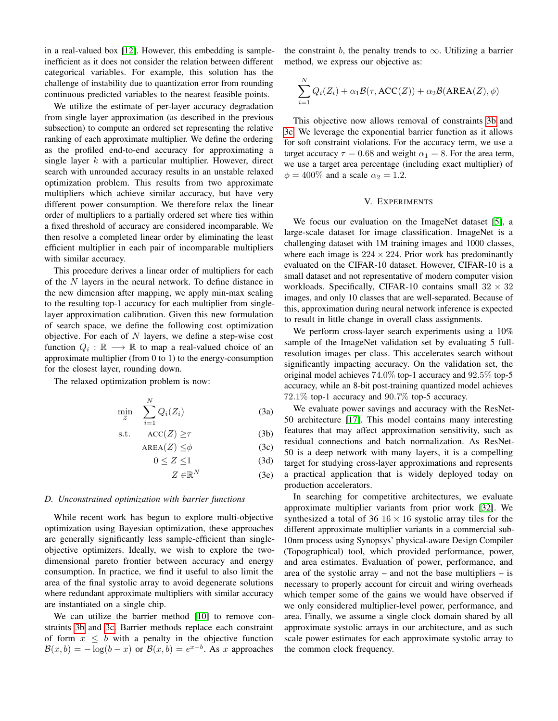in a real-valued box [\[12\]](#page-8-42). However, this embedding is sampleinefficient as it does not consider the relation between different categorical variables. For example, this solution has the challenge of instability due to quantization error from rounding continuous predicted variables to the nearest feasible points.

We utilize the estimate of per-layer accuracy degradation from single layer approximation (as described in the previous subsection) to compute an ordered set representing the relative ranking of each approximate multiplier. We define the ordering as the profiled end-to-end accuracy for approximating a single layer  $k$  with a particular multiplier. However, direct search with unrounded accuracy results in an unstable relaxed optimization problem. This results from two approximate multipliers which achieve similar accuracy, but have very different power consumption. We therefore relax the linear order of multipliers to a partially ordered set where ties within a fixed threshold of accuracy are considered incomparable. We then resolve a completed linear order by eliminating the least efficient multiplier in each pair of incomparable multipliers with similar accuracy.

This procedure derives a linear order of multipliers for each of the N layers in the neural network. To define distance in the new dimension after mapping, we apply min-max scaling to the resulting top-1 accuracy for each multiplier from singlelayer approximation calibration. Given this new formulation of search space, we define the following cost optimization objective. For each of  $N$  layers, we define a step-wise cost function  $Q_i : \mathbb{R} \longrightarrow \mathbb{R}$  to map a real-valued choice of an approximate multiplier (from 0 to 1) to the energy-consumption for the closest layer, rounding down.

The relaxed optimization problem is now:

$$
\min_{\mathcal{Z}} \quad \sum_{i=1}^{N} Q_i(Z_i) \tag{3a}
$$

$$
s.t. \quad ACC(Z) \geq \tau \tag{3b}
$$

$$
AREA(Z) \leq \phi \tag{3c}
$$

$$
0 \le Z \le 1 \tag{3d}
$$

$$
Z \in \mathbb{R}^N \tag{3e}
$$

#### *D. Unconstrained optimization with barrier functions*

While recent work has begun to explore multi-objective optimization using Bayesian optimization, these approaches are generally significantly less sample-efficient than singleobjective optimizers. Ideally, we wish to explore the twodimensional pareto frontier between accuracy and energy consumption. In practice, we find it useful to also limit the area of the final systolic array to avoid degenerate solutions where redundant approximate multipliers with similar accuracy are instantiated on a single chip.

We can utilize the barrier method [\[10\]](#page-8-43) to remove constraints [3b](#page-5-0) and [3c.](#page-5-1) Barrier methods replace each constraint of form  $x \leq b$  with a penalty in the objective function  $\mathcal{B}(x, b) = -\log(b - x)$  or  $\mathcal{B}(x, b) = e^{x - b}$ . As x approaches

the constraint b, the penalty trends to  $\infty$ . Utilizing a barrier method, we express our objective as:

$$
\sum_{i=1}^{N} Q_i(Z_i) + \alpha_1 \mathcal{B}(\tau, \text{ACC}(Z)) + \alpha_2 \mathcal{B}(\text{AREA}(Z), \phi)
$$

This objective now allows removal of constraints [3b](#page-5-0) and [3c.](#page-5-1) We leverage the exponential barrier function as it allows for soft constraint violations. For the accuracy term, we use a target accuracy  $\tau = 0.68$  and weight  $\alpha_1 = 8$ . For the area term, we use a target area percentage (including exact multiplier) of  $\phi = 400\%$  and a scale  $\alpha_2 = 1.2$ .

# V. EXPERIMENTS

We focus our evaluation on the ImageNet dataset [\[5\]](#page-8-14), a large-scale dataset for image classification. ImageNet is a challenging dataset with 1M training images and 1000 classes, where each image is  $224 \times 224$ . Prior work has predominantly evaluated on the CIFAR-10 dataset. However, CIFAR-10 is a small dataset and not representative of modern computer vision workloads. Specifically, CIFAR-10 contains small  $32 \times 32$ images, and only 10 classes that are well-separated. Because of this, approximation during neural network inference is expected to result in little change in overall class assignments.

We perform cross-layer search experiments using a  $10\%$ sample of the ImageNet validation set by evaluating 5 fullresolution images per class. This accelerates search without significantly impacting accuracy. On the validation set, the original model achieves 74.0% top-1 accuracy and 92.5% top-5 accuracy, while an 8-bit post-training quantized model achieves 72.1% top-1 accuracy and 90.7% top-5 accuracy.

<span id="page-5-1"></span><span id="page-5-0"></span>We evaluate power savings and accuracy with the ResNet-50 architecture [\[17\]](#page-8-44). This model contains many interesting features that may affect approximation sensitivity, such as residual connections and batch normalization. As ResNet-50 is a deep network with many layers, it is a compelling target for studying cross-layer approximations and represents a practical application that is widely deployed today on production accelerators.

In searching for competitive architectures, we evaluate approximate multiplier variants from prior work [\[32\]](#page-8-12). We synthesized a total of 36  $16 \times 16$  systolic array tiles for the different approximate multiplier variants in a commercial sub-10nm process using Synopsys' physical-aware Design Compiler (Topographical) tool, which provided performance, power, and area estimates. Evaluation of power, performance, and area of the systolic array – and not the base multipliers – is necessary to properly account for circuit and wiring overheads which temper some of the gains we would have observed if we only considered multiplier-level power, performance, and area. Finally, we assume a single clock domain shared by all approximate systolic arrays in our architecture, and as such scale power estimates for each approximate systolic array to the common clock frequency.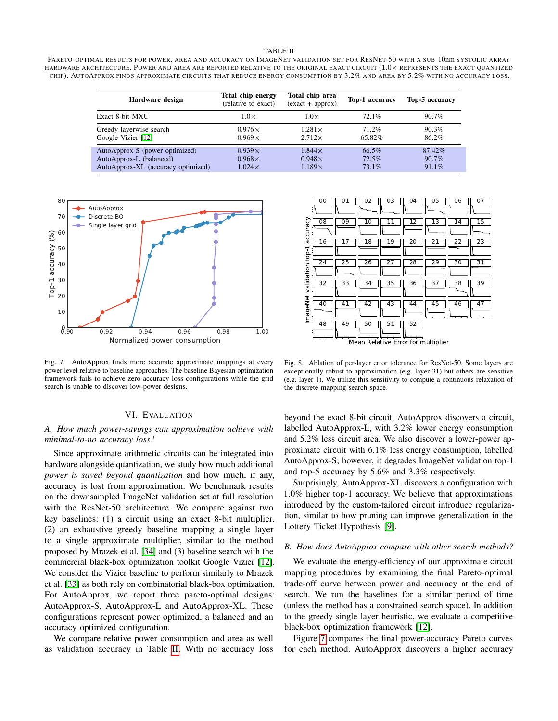#### TABLE II

<span id="page-6-0"></span>PARETO-OPTIMAL RESULTS FOR POWER, AREA AND ACCURACY ON IMAGENET VALIDATION SET FOR RESNET-50 WITH A SUB-10nm SYSTOLIC ARRAY HARDWARE ARCHITECTURE. POWER AND AREA ARE REPORTED RELATIVE TO THE ORIGINAL EXACT CIRCUIT (1.0× REPRESENTS THE EXACT QUANTIZED CHIP). AUTOAPPROX FINDS APPROXIMATE CIRCUITS THAT REDUCE ENERGY CONSUMPTION BY 3.2% AND AREA BY 5.2% WITH NO ACCURACY LOSS.

|                                                                                                 | <b>Total chip energy</b>                        | Total chip area                                 |                            |                                |  |
|-------------------------------------------------------------------------------------------------|-------------------------------------------------|-------------------------------------------------|----------------------------|--------------------------------|--|
| Hardware design                                                                                 | (relative to exact)                             | $(exact + approx)$                              | Top-1 accuracy             | Top-5 accuracy                 |  |
| Exact 8-bit MXU                                                                                 | $1.0\times$                                     | $1.0\times$                                     | $72.1\%$                   | $90.7\%$                       |  |
| Greedy layerwise search<br>Google Vizier [12]                                                   | $0.976\times$<br>$0.969\times$                  | $1.281\times$<br>$2.712\times$                  | 71.2%<br>65.82%            | 90.3%<br>86.2%                 |  |
| AutoApprox-S (power optimized)<br>AutoApprox-L (balanced)<br>AutoApprox-XL (accuracy optimized) | $0.939\times$<br>$0.968\times$<br>$1.024\times$ | $1.844\times$<br>$0.948\times$<br>$1.189\times$ | 66.5%<br>72.5%<br>$73.1\%$ | 87.42%<br>$90.7\%$<br>$91.1\%$ |  |



<span id="page-6-1"></span>Fig. 7. AutoApprox finds more accurate approximate mappings at every power level relative to baseline approaches. The baseline Bayesian optimization framework fails to achieve zero-accuracy loss configurations while the grid search is unable to discover low-power designs.

## VI. EVALUATION

# *A. How much power-savings can approximation achieve with minimal-to-no accuracy loss?*

Since approximate arithmetic circuits can be integrated into hardware alongside quantization, we study how much additional *power is saved beyond quantization* and how much, if any, accuracy is lost from approximation. We benchmark results on the downsampled ImageNet validation set at full resolution with the ResNet-50 architecture. We compare against two key baselines: (1) a circuit using an exact 8-bit multiplier, (2) an exhaustive greedy baseline mapping a single layer to a single approximate multiplier, similar to the method proposed by Mrazek et al. [\[34\]](#page-8-10) and (3) baseline search with the commercial black-box optimization toolkit Google Vizier [\[12\]](#page-8-42). We consider the Vizier baseline to perform similarly to Mrazek et al. [\[33\]](#page-8-9) as both rely on combinatorial black-box optimization. For AutoApprox, we report three pareto-optimal designs: AutoApprox-S, AutoApprox-L and AutoApprox-XL. These configurations represent power optimized, a balanced and an accuracy optimized configuration.

We compare relative power consumption and area as well as validation accuracy in Table [II.](#page-6-0) With no accuracy loss



<span id="page-6-2"></span>Fig. 8. Ablation of per-layer error tolerance for ResNet-50. Some layers are exceptionally robust to approximation (e.g. layer 31) but others are sensitive (e.g. layer 1). We utilize this sensitivity to compute a continuous relaxation of the discrete mapping search space.

beyond the exact 8-bit circuit, AutoApprox discovers a circuit, labelled AutoApprox-L, with 3.2% lower energy consumption and 5.2% less circuit area. We also discover a lower-power approximate circuit with 6.1% less energy consumption, labelled AutoApprox-S; however, it degrades ImageNet validation top-1 and top-5 accuracy by 5.6% and 3.3% respectively.

Surprisingly, AutoApprox-XL discovers a configuration with 1.0% higher top-1 accuracy. We believe that approximations introduced by the custom-tailored circuit introduce regularization, similar to how pruning can improve generalization in the Lottery Ticket Hypothesis [\[9\]](#page-8-29).

## *B. How does AutoApprox compare with other search methods?*

We evaluate the energy-efficiency of our approximate circuit mapping procedures by examining the final Pareto-optimal trade-off curve between power and accuracy at the end of search. We run the baselines for a similar period of time (unless the method has a constrained search space). In addition to the greedy single layer heuristic, we evaluate a competitive black-box optimization framework [\[12\]](#page-8-42).

Figure [7](#page-6-1) compares the final power-accuracy Pareto curves for each method. AutoApprox discovers a higher accuracy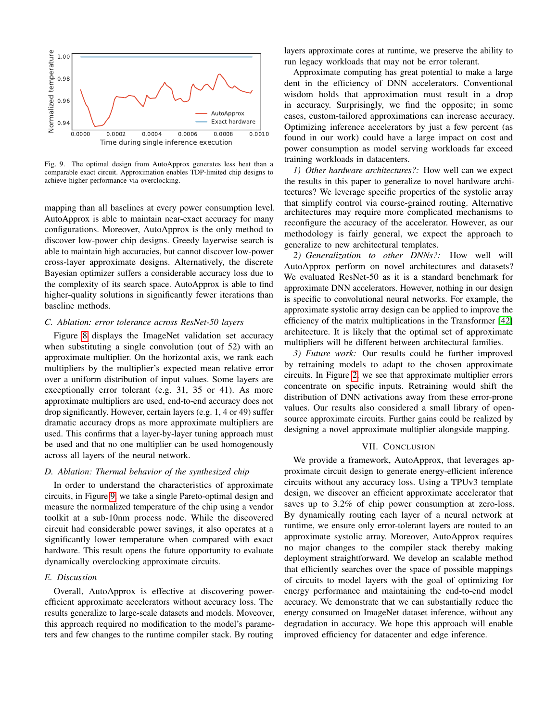

<span id="page-7-0"></span>Fig. 9. The optimal design from AutoApprox generates less heat than a comparable exact circuit. Approximation enables TDP-limited chip designs to achieve higher performance via overclocking.

mapping than all baselines at every power consumption level. AutoApprox is able to maintain near-exact accuracy for many configurations. Moreover, AutoApprox is the only method to discover low-power chip designs. Greedy layerwise search is able to maintain high accuracies, but cannot discover low-power cross-layer approximate designs. Alternatively, the discrete Bayesian optimizer suffers a considerable accuracy loss due to the complexity of its search space. AutoApprox is able to find higher-quality solutions in significantly fewer iterations than baseline methods.

# *C. Ablation: error tolerance across ResNet-50 layers*

Figure [8](#page-6-2) displays the ImageNet validation set accuracy when substituting a single convolution (out of 52) with an approximate multiplier. On the horizontal axis, we rank each multipliers by the multiplier's expected mean relative error over a uniform distribution of input values. Some layers are exceptionally error tolerant (e.g. 31, 35 or 41). As more approximate multipliers are used, end-to-end accuracy does not drop significantly. However, certain layers (e.g. 1, 4 or 49) suffer dramatic accuracy drops as more approximate multipliers are used. This confirms that a layer-by-layer tuning approach must be used and that no one multiplier can be used homogenously across all layers of the neural network.

# *D. Ablation: Thermal behavior of the synthesized chip*

In order to understand the characteristics of approximate circuits, in Figure [9,](#page-7-0) we take a single Pareto-optimal design and measure the normalized temperature of the chip using a vendor toolkit at a sub-10nm process node. While the discovered circuit had considerable power savings, it also operates at a significantly lower temperature when compared with exact hardware. This result opens the future opportunity to evaluate dynamically overclocking approximate circuits.

# *E. Discussion*

Overall, AutoApprox is effective at discovering powerefficient approximate accelerators without accuracy loss. The results generalize to large-scale datasets and models. Moveover, this approach required no modification to the model's parameters and few changes to the runtime compiler stack. By routing

layers approximate cores at runtime, we preserve the ability to run legacy workloads that may not be error tolerant.

Approximate computing has great potential to make a large dent in the efficiency of DNN accelerators. Conventional wisdom holds that approximation must result in a drop in accuracy. Surprisingly, we find the opposite; in some cases, custom-tailored approximations can increase accuracy. Optimizing inference accelerators by just a few percent (as found in our work) could have a large impact on cost and power consumption as model serving workloads far exceed training workloads in datacenters.

*1) Other hardware architectures?:* How well can we expect the results in this paper to generalize to novel hardware architectures? We leverage specific properties of the systolic array that simplify control via course-grained routing. Alternative architectures may require more complicated mechanisms to reconfigure the accuracy of the accelerator. However, as our methodology is fairly general, we expect the approach to generalize to new architectural templates.

*2) Generalization to other DNNs?:* How well will AutoApprox perform on novel architectures and datasets? We evaluated ResNet-50 as it is a standard benchmark for approximate DNN accelerators. However, nothing in our design is specific to convolutional neural networks. For example, the approximate systolic array design can be applied to improve the efficiency of the matrix multiplications in the Transformer [\[42\]](#page-8-45) architecture. It is likely that the optimal set of approximate multipliers will be different between architectural families.

*3) Future work:* Our results could be further improved by retraining models to adapt to the chosen approximate circuits. In Figure [2,](#page-1-0) we see that approximate multiplier errors concentrate on specific inputs. Retraining would shift the distribution of DNN activations away from these error-prone values. Our results also considered a small library of opensource approximate circuits. Further gains could be realized by designing a novel approximate multiplier alongside mapping.

#### VII. CONCLUSION

We provide a framework, AutoApprox, that leverages approximate circuit design to generate energy-efficient inference circuits without any accuracy loss. Using a TPUv3 template design, we discover an efficient approximate accelerator that saves up to 3.2% of chip power consumption at zero-loss. By dynamically routing each layer of a neural network at runtime, we ensure only error-tolerant layers are routed to an approximate systolic array. Moreover, AutoApprox requires no major changes to the compiler stack thereby making deployment straightforward. We develop an scalable method that efficiently searches over the space of possible mappings of circuits to model layers with the goal of optimizing for energy performance and maintaining the end-to-end model accuracy. We demonstrate that we can substantially reduce the energy consumed on ImageNet dataset inference, without any degradation in accuracy. We hope this approach will enable improved efficiency for datacenter and edge inference.